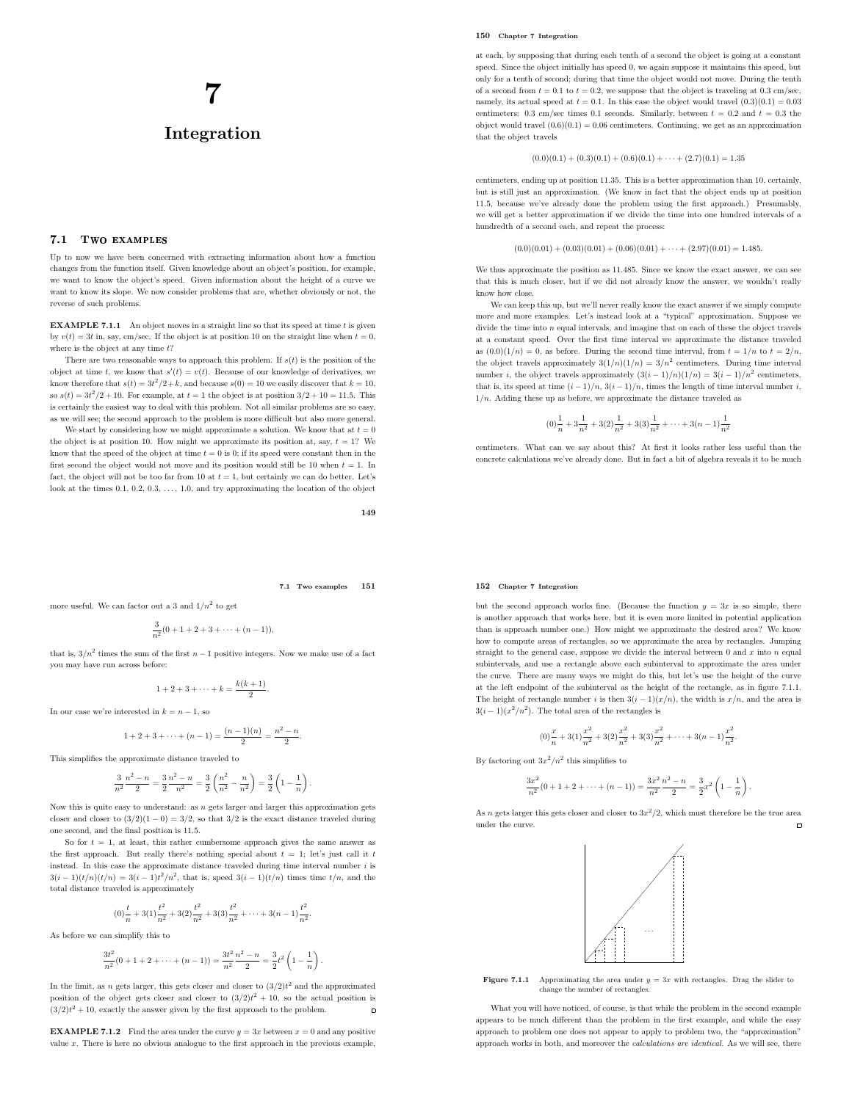# 7 Integration

# 7.1 Two examples

Up to now we have been concerned with extracting information about how a function changes from the function itself. Given knowledge about an object's position, for example, we want to know the object's speed. Given information about the height of a curve we want to know its slope. We now consider problems that are, whether obviously or not, the reverse of such problems.

**EXAMPLE 7.1.1** An object moves in a straight line so that its speed at time  $t$  is given by  $v(t) = 3t$  in, say, cm/sec. If the object is at position 10 on the straight line when  $t = 0$ , where is the object at any time  $t$ ?

There are two reasonable ways to approach this problem. If  $s(t)$  is the position of the object at time t, we know that  $s'(t) = v(t)$ . Because of our knowledge of derivatives, we know therefore that  $s(t) = 3t^2/2 + k$ , and because  $s(0) = 10$  we easily discover that  $k = 10$ , so  $s(t) = 3t^2/2 + 10$ . For example, at  $t = 1$  the object is at position  $3/2 + 10 = 11.5$ . This is certainly the easiest way to deal with this problem. Not all similar problems are so easy, as we will see; the second approach to the problem is more difficult but also more general.

We start by considering how we might approximate a solution. We know that at  $t = 0$ the object is at position 10. How might we approximate its position at, say,  $t = 1$ ? We know that the speed of the object at time  $t = 0$  is 0; if its speed were constant then in the first second the object would not move and its position would still be 10 when  $t = 1$ . In fact, the object will not be too far from 10 at  $t = 1$ , but certainly we can do better. Let's look at the times  $0.1, 0.2, 0.3, \ldots, 1.0$ , and try approximating the location of the object

149

7.1 Two examples 151

more useful. We can factor out a 3 and  $1/n^2$  to get

$$
\frac{3}{n^2}(0+1+2+3+\cdots+(n-1)),
$$

that is,  $3/n^2$  times the sum of the first  $n-1$  positive integers. Now we make use of a fact you may have run across before:

$$
1 + 2 + 3 + \cdots + k = \frac{k(k+1)}{2}.
$$

In our case we're interested in  $k = n - 1$ , so

$$
1 + 2 + 3 + \dots + (n - 1) = \frac{(n - 1)(n)}{2} = \frac{n^2 - n}{2}.
$$

This simplifies the approximate distance traveled to

$$
\frac{3}{n^2} \frac{n^2 - n}{2} = \frac{3}{2} \frac{n^2 - n}{n^2} = \frac{3}{2} \left( \frac{n^2}{n^2} - \frac{n}{n^2} \right) = \frac{3}{2} \left( 1 - \frac{1}{n} \right).
$$

Now this is quite easy to understand: as  $n$  gets larger and larger this approximation gets closer and closer to  $(3/2)(1-0) = 3/2$ , so that  $3/2$  is the exact distance traveled during one second, and the final position is 11.5.

So for  $t = 1$ , at least, this rather cumbersome approach gives the same answer as the first approach. But really there's nothing special about  $t = 1$ ; let's just call it  $t$ instead. In this case the approximate distance traveled during time interval number  $i$  is  $3(i-1)(t/n)(t/n) = 3(i-1)t^2/n^2$ , that is, speed  $3(i-1)(t/n)$  times time  $t/n$ , and the total distance traveled is approximately

$$
(0)\frac{t}{n}+3(1)\frac{t^2}{n^2}+3(2)\frac{t^2}{n^2}+3(3)\frac{t^2}{n^2}+\cdot\cdot\cdot+3(n-1)\frac{t^2}{n^2}.
$$

As before we can simplify this to

$$
\frac{3t^2}{n^2}(0+1+2+\cdots+(n-1))=\frac{3t^2}{n^2}\frac{n^2-n}{2}=\frac{3}{2}t^2\left(1-\frac{1}{n}\right).
$$

In the limit, as n gets larger, this gets closer and closer to  $(3/2)t^2$  and the approximated position of the object gets closer and closer to  $(3/2)t^2 + 10$ , so the actual position is  $(3/2)t^2 + 10$ , exactly the answer given by the first approach to the problem.  $\overline{a}$ 

**EXAMPLE 7.1.2** Find the area under the curve  $y = 3x$  between  $x = 0$  and any positive value  $x$ . There is here no obvious analogue to the first approach in the previous example,

#### 150 Chapter 7 Integration

at each, by supposing that during each tenth of a second the object is going at a constant speed. Since the object initially has speed 0, we again suppose it maintains this speed, but only for a tenth of second; during that time the object would not move. During the tenth of a second from  $t = 0.1$  to  $t = 0.2$ , we suppose that the object is traveling at 0.3 cm/sec, namely, its actual speed at  $t = 0.1$ . In this case the object would travel  $(0.3)(0.1) = 0.03$ centimeters: 0.3 cm/sec times 0.1 seconds. Similarly, between  $t = 0.2$  and  $t = 0.3$  the object would travel  $(0.6)(0.1) = 0.06$  centimeters. Continuing, we get as an approximation that the object travels

# $(0.0)(0.1) + (0.3)(0.1) + (0.6)(0.1) + \cdots + (2.7)(0.1) = 1.35$

centimeters, ending up at position 11.35. This is a better approximation than 10, certainly, but is still just an approximation. (We know in fact that the object ends up at position 11.5, because we've already done the problem using the first approach.) Presumably, we will get a better approximation if we divide the time into one hundred intervals of a hundredth of a second each, and repeat the process:

 $(0.0)(0.01) + (0.03)(0.01) + (0.06)(0.01) + \cdots + (2.97)(0.01) = 1.485.$ 

We thus approximate the position as 11.485. Since we know the exact answer, we can see that this is much closer, but if we did not already know the answer, we wouldn't really know how close

We can keep this up, but we'll never really know the exact answer if we simply compute more and more examples. Let's instead look at a "typical" approximation. Suppose we divide the time into  $n$  equal intervals, and imagine that on each of these the object travels at a constant speed. Over the first time interval we approximate the distance traveled as  $(0.0)(1/n) = 0$ , as before. During the second time interval, from  $t = 1/n$  to  $t = 2/n$ , the object travels approximately  $3(1/n)(1/n) = 3/n^2$  centimeters. During time interval number *i*, the object travels approximately  $(3(i-1)/n)(1/n) = 3(i-1)/n^2$  centimeters, that is, its speed at time  $(i-1)/n$ ,  $3(i-1)/n$ , times the length of time interval number i,  $1/n.$  Adding these up as before, we approximate the distance traveled as

$$
(0)\frac{1}{n} + 3\frac{1}{n^2} + 3(2)\frac{1}{n^2} + 3(3)\frac{1}{n^2} + \dots + 3(n-1)\frac{1}{n^2}
$$

centimeters. What can we say about this? At first it looks rather less useful than the concrete calculations we've already done. But in fact a bit of algebra reveals it to be much

# 152 Chapter 7 Integration

but the second approach works fine. (Because the function  $y = 3x$  is so simple, there is another approach that works here, but it is even more limited in potential application than is approach number one.) How might we approximate the desired area? We know how to compute areas of rectangles, so we approximate the area by rectangles. Jumping straight to the general case, suppose we divide the interval between  $0$  and  $x$  into  $n$  equal subintervals, and use a rectangle above each subinterval to approximate the area under the curve. There are many ways we might do this, but let's use the height of the curve at the left endpoint of the subinterval as the height of the rectangle, as in figure 7.1.1. The height of rectangle number i is then  $3(i-1)(x/n)$ , the width is  $x/n$ , and the area is  $3(i-1)(x^2/n^2)$ . The total area of the rectangles is

$$
(0)\frac{x}{n} + 3(1)\frac{x^2}{n^2} + 3(2)\frac{x^2}{n^2} + 3(3)\frac{x^2}{n^2} + \dots + 3(n-1)\frac{x^2}{n^2}.
$$

By factoring out  $3x^2/n^2$  this simplifies to

$$
\frac{3x^2}{n^2}(0+1+2+\cdots+(n-1))=\frac{3x^2}{n^2}\frac{n^2-n}{2}=\frac{3}{2}x^2\left(1-\frac{1}{n}\right).
$$

As *n* gets larger this gets closer and closer to  $3x^2/2$ , which must therefore be the true area under the curve.  $\overline{a}$ 



Figure 7.1.1 Approximating the area under  $y = 3x$  with rectangles. Drag the slider to ange the number of rectangles

What you will have noticed, of course, is that while the problem in the second example appears to be much different than the problem in the first example, and while the easy approach to problem one does not appear to apply to problem two, the "approximation" approach works in both, and moreover the calculations are identical. As we will see, there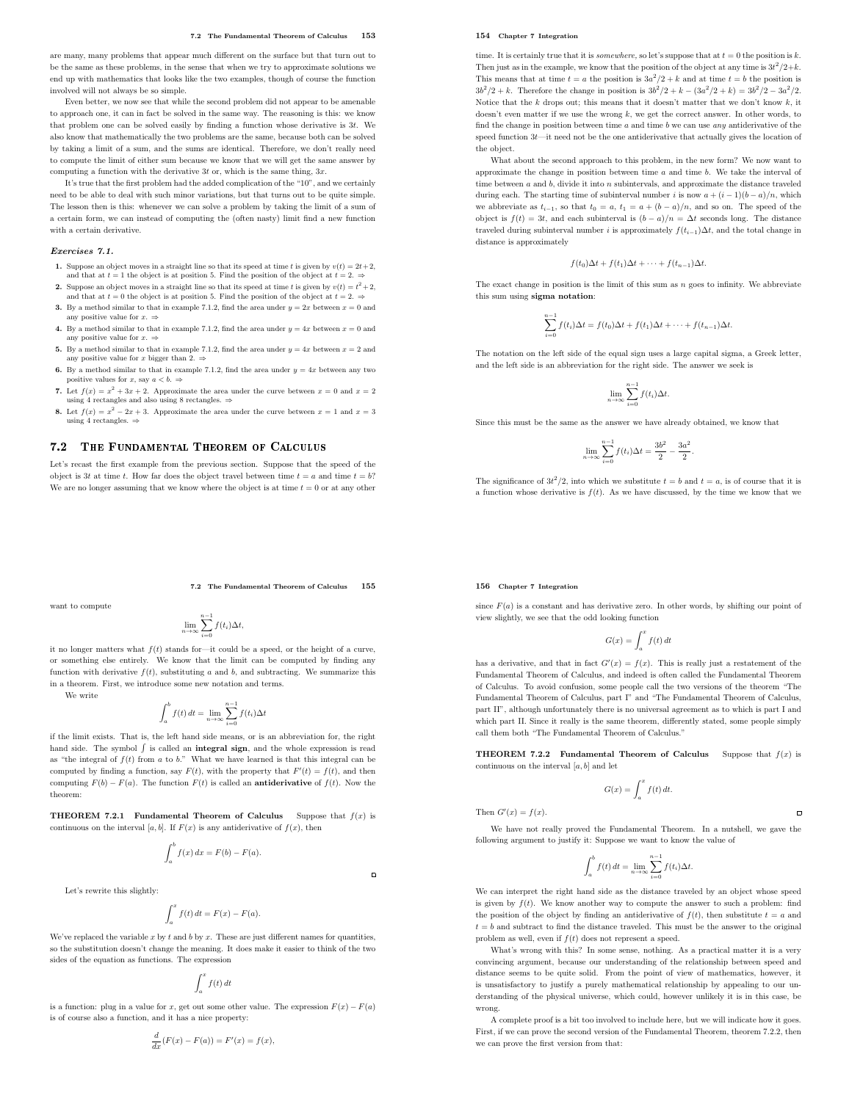#### 7.2 The Fundamental Theorem of Calculus 153

are many, many problems that appear much different on the surface but that turn out to be the same as these problems, in the sense that when we try to approximate solutions we end up with mathematics that looks like the two examples, though of course the function involved will not always be so simple.

Even better, we now see that while the second problem did not appear to be amenable to approach one, it can in fact be solved in the same way. The reasoning is this: we know that problem one can be solved easily by finding a function whose derivative is 3t. We also know that mathematically the two problems are the same, because both can be solved by taking a limit of a sum, and the sums are identical. Therefore, we don't really need to compute the limit of either sum because we know that we will get the same answer by computing a function with the derivative  $3t$  or, which is the same thing,  $3x$ .

It's true that the first problem had the added complication of the "10", and we certainly need to be able to deal with such minor variations, but that turns out to be quite simple. The lesson then is this: whenever we can solve a problem by taking the limit of a sum of a certain form, we can instead of computing the (often nasty) limit find a new function with a certain derivative.

#### Exercises 7.1.

- 1. Suppose an object moves in a straight line so that its speed at time t is given by  $v(t) = 2t + 2$ , and that at  $t = 1$  the object is at position 5. Find the position of the object at  $t = 2$ .  $\Rightarrow$
- 2. Suppose an object moves in a straight line so that its speed at time t is given by  $v(t) = t^2 + 2$ , and that at  $t = 0$  the object is at position 5. Find the position of the object at  $t = 2$ .
- 3. By a method similar to that in example 7.1.2, find the area under  $y = 2x$  between  $x = 0$  and any positive value for  $x. \Rightarrow$
- 4. By a method similar to that in example 7.1.2, find the area under  $y = 4x$  between  $x = 0$  and any positive value for  $x. \Rightarrow$
- 5. By a method similar to that in example 7.1.2, find the area under  $y = 4x$  between  $x = 2$  and any positive value for x bigger than 2.  $\Rightarrow$
- 6. By a method similar to that in example 7.1.2, find the area under  $y = 4x$  between any two positive values for x, say  $a < b$ .  $\Rightarrow$
- 7. Let  $f(x) = x^2 + 3x + 2$ . Approximate the area under the curve between  $x = 0$  and  $x = 2$ using 4 rectangles and also using 8 rectangles.  $\Rightarrow$
- 8. Let  $f(x) = x^2 2x + 3$ . Approximate the area under the curve between  $x = 1$  and  $x = 3$ using 4 rectangles.  $\Rightarrow$

#### 7.2 THE FUNDAMENTAL THEOREM OF CALCULUS

Let's recast the first example from the previous section. Suppose that the speed of the object is 3t at time t. How far does the object travel between time  $t = a$  and time  $t = b$ ? We are no longer assuming that we know where the object is at time  $t = 0$  or at any other

#### 154 Chapter 7 Integration

time. It is certainly true that it is *somewhere*, so let's suppose that at  $t = 0$  the position is k. Then just as in the example, we know that the position of the object at any time is  $3t^2/2+k$ . This means that at time  $t = a$  the position is  $3a^2/2 + k$  and at time  $t = b$  the position is  $3b^2/2 + k$ . Therefore the change in position is  $3b^2/2 + k - (3a^2/2 + k) = 3b^2/2 - 3a^2/2$ . Notice that the  $k$  drops out; this means that it doesn't matter that we don't know  $k$ , it doesn't even matter if we use the wrong  $k$ , we get the correct answer. In other words, to find the change in position between time  $a$  and time  $b$  we can use  $any$  antiderivative of the speed function  $3t$ —it need not be the one antiderivative that actually gives the location of the object.

What about the second approach to this problem, in the new form? We now want to approximate the change in position between time a and time b. We take the interval of time between  $a$  and  $b$ , divide it into  $n$  subintervals, and approximate the distance traveled during each. The starting time of subinterval number i is now  $a + (i - 1)(b - a)/n$ , which we abbreviate as  $t_{i-1}$ , so that  $t_0 = a$ ,  $t_1 = a + (b - a)/n$ , and so on. The speed of the object is  $f(t) = 3t$ , and each subinterval is  $(b - a)/n = \Delta t$  seconds long. The distance traveled during subinterval number  $i$  is approximately  $f(t_{i-1})\Delta t,$  and the total change in distance is approximately

$$
f(t_0)\Delta t + f(t_1)\Delta t + \cdots + f(t_{n-1})\Delta t.
$$

The exact change in position is the limit of this sum as  $n$  goes to infinity. We abbreviate this sum using sigma notation:

$$
\sum_{i=0}^{n-1} f(t_i) \Delta t = f(t_0) \Delta t + f(t_1) \Delta t + \dots + f(t_{n-1}) \Delta t.
$$

The notation on the left side of the equal sign uses a large capital sigma, a Greek letter, and the left side is an abbreviation for the right side. The answer we seek is

$$
\lim_{n \to \infty} \sum_{i=0}^{n-1} f(t_i) \Delta t.
$$

Since this must be the same as the answer we have already obtained, we know that

$$
\lim_{n \to \infty} \sum_{i=0}^{n-1} f(t_i) \Delta t = \frac{3b^2}{2} - \frac{3a^2}{2}.
$$

The significance of  $3t^2/2$ , into which we substitute  $t = b$  and  $t = a$ , is of course that it is a function whose derivative is  $f(t)$ . As we have discussed, by the time we know that we

#### 156 Chapter 7 Integration

since  $F(a)$  is a constant and has derivative zero. In other words, by shifting our point of view slightly, we see that the odd looking function

$$
G(x) = \int_{a}^{x} f(t) dt
$$

has a derivative, and that in fact  $G'(x) = f(x)$ . This is really just a restatement of the Fundamental Theorem of Calculus, and indeed is often called the Fundamental Theorem of Calculus. To avoid confusion, some people call the two versions of the theorem "The Fundamental Theorem of Calculus, part I" and "The Fundamental Theorem of Calculus, part II", although unfortunately there is no universal agreement as to which is part I and which part II. Since it really is the same theorem, differently stated, some people simply call them both "The Fundamental Theorem of Calculus."

**THEOREM 7.2.2** Fundamental Theorem of Calculus Suppose that  $f(x)$  is continuous on the interval  $[a, b]$  and let

$$
G(x) = \int_{a}^{x} f(t) dt.
$$

Then  $G'(x) = f(x)$ .

 $\Box$ 

We have not really proved the Fundamental Theorem. In a nutshell, we gave the following argument to justify it: Suppose we want to know the value of

 $\Box$ 

$$
\int_a^b f(t)\,dt = \lim_{n\to\infty}\sum_{i=0}^{n-1} f(t_i)\Delta t.
$$

We can interpret the right hand side as the distance traveled by an object whose speed is given by  $f(t)$ . We know another way to compute the answer to such a problem: find the position of the object by finding an antiderivative of  $f(t)$ , then substitute  $t = a$  and  $t = b$  and subtract to find the distance traveled. This must be the answer to the original problem as well, even if  $f(t)$  does not represent a speed.

What's wrong with this? In some sense, nothing. As a practical matter it is a very convincing argument, because our understanding of the relationship between speed and distance seems to be quite solid. From the point of view of mathematics, however, it is unsatisfactory to justify a purely mathematical relationship by appealing to our understanding of the physical universe, which could, however unlikely it is in this case, be wrong.

A complete proof is a bit too involved to include here, but we will indicate how it goes. First, if we can prove the second version of the Fundamental Theorem, theorem 7.2.2, then we can prove the first version from that:

7.2 The Fundamental Theorem of Calculus 155

want to compute

$$
\lim_{n \to \infty} \sum_{i=0}^{n-1} f(t_i) \Delta t,
$$

it no longer matters what  $f(t)$  stands for—it could be a speed, or the height of a curve, or something else entirely. We know that the limit can be computed by finding any function with derivative  $f(t)$ , substituting a and b, and subtracting. We summarize this in a theorem. First, we introduce some new notation and terms.

We write

$$
\int_a^b f(t)\,dt = \lim_{n\to\infty}\sum_{i=0}^{n-1} f(t_i)\Delta t
$$

if the limit exists. That is, the left hand side means, or is an abbreviation for, the right hand side. The symbol  $\int$  is called an **integral sign**, and the whole expression is read as "the integral of  $f(t)$  from a to b." What we have learned is that this integral can be computed by finding a function, say  $F(t)$ , with the property that  $F'(t) = f(t)$ , and then computing  $F(b) - F(a)$ . The function  $F(t)$  is called an **antiderivative** of  $f(t)$ . Now the theorem:

**THEOREM 7.2.1** Fundamental Theorem of Calculus Suppose that  $f(x)$  is continuous on the interval  $[a, b]$ . If  $F(x)$  is any antiderivative of  $f(x)$ , then

$$
\int_a^b f(x) dx = F(b) - F(a).
$$

Let's rewrite this slightly:

$$
\int_a^x f(t) dt = F(x) - F(a).
$$

We've replaced the variable x by t and b by x. These are just different names for quantities, so the substitution doesn't change the meaning. It does make it easier to think of the two sides of the equation as functions. The expression

$$
\int_a^x f(t) \, dt
$$

is a function: plug in a value for x, get out some other value. The expression  $F(x) - F(a)$ is of course also a function, and it has a nice property:

$$
\frac{d}{dx}(F(x) - F(a)) = F'(x) = f(x),
$$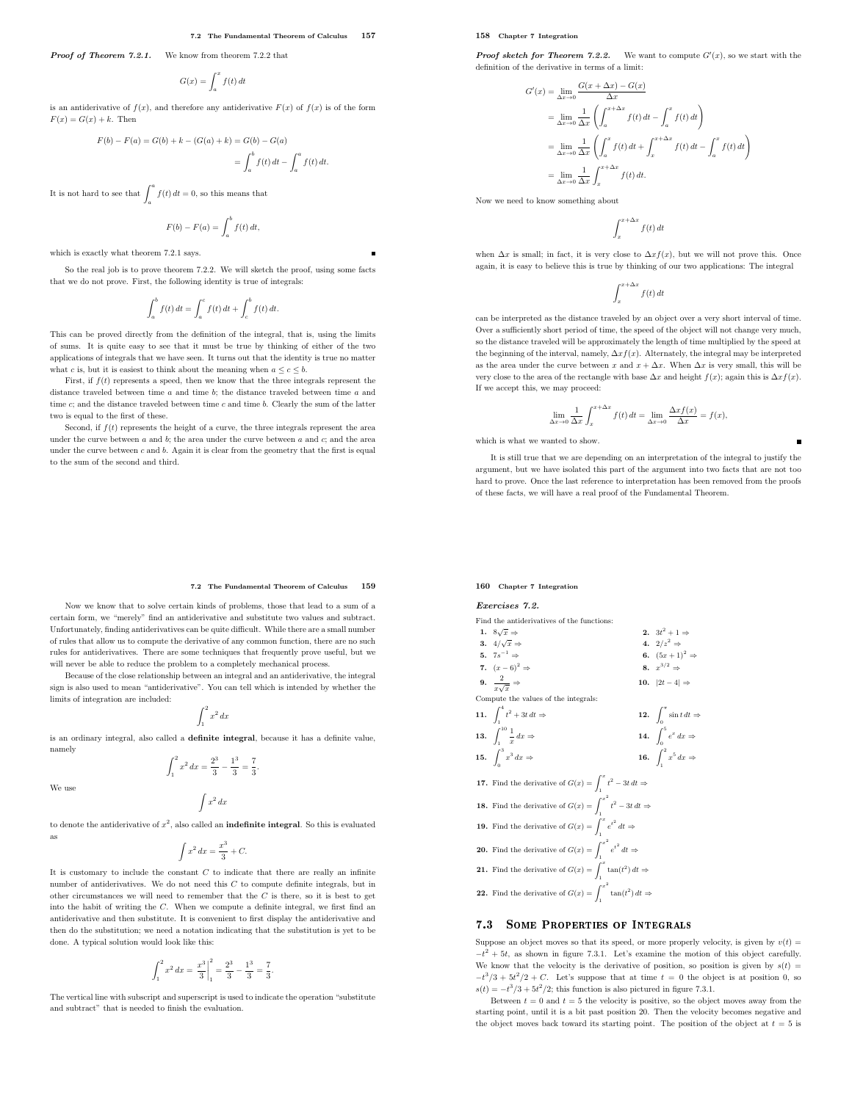Proof of Theorem 7.2.1. We know from theorem 7.2.2 that

$$
G(x) = \int_{a}^{x} f(t) dt
$$

is an antiderivative of  $f(x)$ , and therefore any antiderivative  $F(x)$  of  $f(x)$  is of the form  $F(x) = G(x) + k$ . Then

$$
F(b) - F(a) = G(b) + k - (G(a) + k) = G(b) - G(a)
$$
  
= 
$$
\int_{a}^{b} f(t) dt - \int_{a}^{a} f(t) dt.
$$

It is not hard to see that  $\int_a^a f(t) dt = 0$ , so this means that

$$
F(b) - F(a) = \int_a^b f(t) dt,
$$

which is exactly what theorem 7.2.1 says.

So the real job is to prove theorem 7.2.2. We will sketch the proof, using some facts that we do not prove. First, the following identity is true of integrals:

$$
\int_{a}^{b} f(t) dt = \int_{a}^{c} f(t) dt + \int_{c}^{b} f(t) dt.
$$

This can be proved directly from the definition of the integral, that is, using the limits of sums. It is quite easy to see that it must be true by thinking of either of the two applications of integrals that we have seen. It turns out that the identity is true no matter what c is, but it is easiest to think about the meaning when  $a \leq c \leq b$ .

First, if  $f(t)$  represents a speed, then we know that the three integrals represent the distance traveled between time  $a$  and time  $b$ ; the distance traveled between time  $a$  and time  $c$ ; and the distance traveled between time  $c$  and time  $b$ . Clearly the sum of the latter two is equal to the first of these.

Second, if  $f(t)$  represents the height of a curve, the three integrals represent the area under the curve between  $a$  and  $b$ ; the area under the curve between  $a$  and  $c$ ; and the area under the curve between  $c$  and  $b$ . Again it is clear from the geometry that the first is equal to the sum of the second and third.

#### 7.2 The Fundamental Theorem of Calculus 159

Now we know that to solve certain kinds of problems, those that lead to a sum of a certain form, we "merely" find an antiderivative and substitute two values and subtract. Unfortunately, finding antiderivatives can be quite difficult. While there are a small number of rules that allow us to compute the derivative of any common function, there are no such rules for antiderivatives. There are some techniques that frequently prove useful, but we will never be able to reduce the problem to a completely mechanical process.

Because of the close relationship between an integral and an antiderivative, the integral sign is also used to mean "antiderivative". You can tell which is intended by whether the limits of integration are included:

$$
\int_1^2 x^2 \, dx
$$

is an ordinary integral, also called a definite integral, because it has a definite value, namely

$$
\int_{1}^{2} x^{2} dx = \frac{2^{3}}{3} - \frac{1^{3}}{3} = \frac{7}{3}.
$$

We use

$$
\int x^2 dx
$$

to denote the antiderivative of  $x^2$ , also called an **indefinite integral**. So this is evaluated as

$$
\int x^2 dx = \frac{x^3}{3} + C.
$$

It is customary to include the constant  $C$  to indicate that there are really an infinite number of antiderivatives. We do not need this  $C$  to compute definite integrals, but in other circumstances we will need to remember that the C is there, so it is best to get into the habit of writing the C. When we compute a definite integral, we first find an antiderivative and then substitute. It is convenient to first display the antiderivative and then do the substitution; we need a notation indicating that the substitution is yet to be done. A typical solution would look like this:

$$
\int_1^2 x^2 dx = \left. \frac{x^3}{3} \right|_1^2 = \frac{2^3}{3} - \frac{1^3}{3} = \frac{7}{3}.
$$

The vertical line with subscript and superscript is used to indicate the operation "substitute and subtract" that is needed to finish the evaluation.

158 Chapter 7 Integration

**Proof sketch for Theorem 7.2.2.** We want to compute  $G'(x)$ , so we start with the definition of the derivative in terms of a limit:

$$
G'(x) = \lim_{\Delta x \to 0} \frac{G(x + \Delta x) - G(x)}{\Delta x}
$$
  
= 
$$
\lim_{\Delta x \to 0} \frac{1}{\Delta x} \left( \int_a^{x + \Delta x} f(t) dt - \int_a^x f(t) dt \right)
$$
  
= 
$$
\lim_{\Delta x \to 0} \frac{1}{\Delta x} \left( \int_a^x f(t) dt + \int_x^{x + \Delta x} f(t) dt - \int_a^x f(t) dt \right)
$$
  
= 
$$
\lim_{\Delta x \to 0} \frac{1}{\Delta x} \int_x^{x + \Delta x} f(t) dt.
$$

Now we need to know something about

$$
\int_{x}^{x+\Delta x} f(t) dt
$$

when  $\Delta x$  is small; in fact, it is very close to  $\Delta x f(x)$ , but we will not prove this. Once again, it is easy to believe this is true by thinking of our two applications: The integral

$$
\int_{x}^{x+\Delta x} f(t) dt
$$

can be interpreted as the distance traveled by an object over a very short interval of time. Over a sufficiently short period of time, the speed of the object will not change very much, so the distance traveled will be approximately the length of time multiplied by the speed at the beginning of the interval, namely,  $\Delta x f(x)$ . Alternately, the integral may be interpreted as the area under the curve between x and  $x + \Delta x$ . When  $\Delta x$  is very small, this will be very close to the area of the rectangle with base  $\Delta x$  and height  $f(x)$ ; again this is  $\Delta x f(x)$ . If we accept this, we may proceed:

$$
\lim_{\Delta x \to 0} \frac{1}{\Delta x} \int_{x}^{x + \Delta x} f(t) dt = \lim_{\Delta x \to 0} \frac{\Delta x f(x)}{\Delta x} = f(x),
$$

which is what we wanted to show.

It is still true that we are depending on an interpretation of the integral to justify the argument, but we have isolated this part of the argument into two facts that are not too hard to prove. Once the last reference to interpretation has been removed from the proofs of these facts, we will have a real proof of the Fundamental Theorem.

160 Chapter 7 Integration

## Exercises 7.2.

|                                      | Find the antiderivatives of the functions:                                         |  |                                               |
|--------------------------------------|------------------------------------------------------------------------------------|--|-----------------------------------------------|
|                                      | 1. $8\sqrt{x} \Rightarrow$                                                         |  | 2. $3t^2 + 1 \Rightarrow$                     |
|                                      | 3. $4/\sqrt{x} \Rightarrow$                                                        |  | 4. $2/z^2 \Rightarrow$                        |
|                                      | 5. $7s^{-1} \Rightarrow$                                                           |  | 6. $(5x+1)^2 \Rightarrow$                     |
|                                      | 7. $(x-6)^2 \Rightarrow$                                                           |  | 8. $x^{3/2} \Rightarrow$                      |
|                                      | 9. $\frac{2}{x\sqrt{x}} \Rightarrow$                                               |  | 10. $ 2t-4  \Rightarrow$                      |
| Compute the values of the integrals: |                                                                                    |  |                                               |
|                                      | 11. $\int_{0}^{4} t^2 + 3t \, dt \Rightarrow$                                      |  | 12. $\int_{0}^{\pi} \sin t \, dt \Rightarrow$ |
|                                      | 13. $\int_{0}^{10} \frac{1}{x} dx \Rightarrow$                                     |  | 14. $\int_{0}^{b} e^{x} dx \Rightarrow$       |
|                                      | 15. $\int_{0}^{3} x^3 dx \Rightarrow$                                              |  | 16. $\int_{1}^{2} x^5 dx \Rightarrow$         |
|                                      | 17. Find the derivative of $G(x) = \int_0^x t^2 - 3t \, dt \Rightarrow$            |  |                                               |
|                                      | <b>18.</b> Find the derivative of $G(x) = \int_{0}^{x^2} t^2 - 3t dt \Rightarrow$  |  |                                               |
|                                      | <b>19.</b> Find the derivative of $G(x) = \int_0^x e^{t^2} dt \Rightarrow$         |  |                                               |
|                                      | <b>20.</b> Find the derivative of $G(x) = \int_{0}^{x^2} e^{t^2} dt \Rightarrow$   |  |                                               |
|                                      | <b>21.</b> Find the derivative of $G(x) = \int_0^x \tan(t^2) dt \Rightarrow$       |  |                                               |
|                                      | <b>22.</b> Find the derivative of $G(x) = \int_{0}^{x^2} \tan(t^2) dt \Rightarrow$ |  |                                               |

# 7.3 Some Properties of Integrals

Suppose an object moves so that its speed, or more properly velocity, is given by  $v(t)$  =  $-t^2 + 5t$ , as shown in figure 7.3.1. Let's examine the motion of this object carefully. We know that the velocity is the derivative of position, so position is given by  $s(t)$  =  $-t^3/3 + 5t^2/2 + C$ . Let's suppose that at time  $t = 0$  the object is at position 0, so  $s(t) = -t^3/3 + 5t^2/2$ ; this function is also pictured in figure 7.3.1.

Between  $t = 0$  and  $t = 5$  the velocity is positive, so the object moves away from the starting point, until it is a bit past position 20. Then the velocity becomes negative and the object moves back toward its starting point. The position of the object at  $t = 5$  is